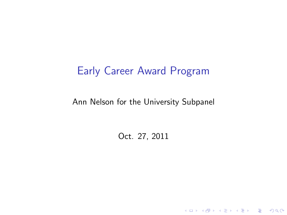#### Early Career Award Program

#### Ann Nelson for the University Subpanel

Oct. 27, 2011

K ロ ▶ K @ ▶ K 할 ▶ K 할 ▶ | 할 | ⊙Q @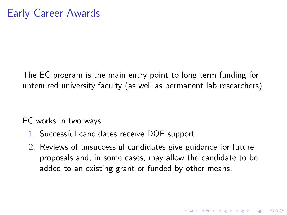The EC program is the main entry point to long term funding for untenured university faculty (as well as permanent lab researchers).

EC works in two ways

- 1. Successful candidates receive DOE support
- 2. Reviews of unsuccessful candidates give guidance for future proposals and, in some cases, may allow the candidate to be added to an existing grant or funded by other means.

4 D > 4 P + 4 B + 4 B + B + 9 Q O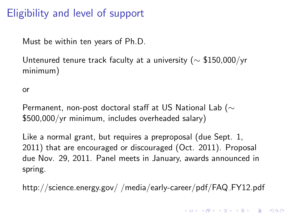#### Eligibility and level of support

Must be within ten years of Ph.D.

Untenured tenure track faculty at a university ( $\sim$  \$150,000/yr minimum)

or

Permanent, non-post doctoral staff at US National Lab ( $\sim$ \$500,000/yr minimum, includes overheaded salary)

Like a normal grant, but requires a preproposal (due Sept. 1, 2011) that are encouraged or discouraged (Oct. 2011). Proposal due Nov. 29, 2011. Panel meets in January, awards announced in spring.

http://science.energy.gov/ /media/early-career/pdf/FAQ FY12.pdf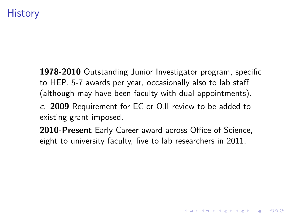# **History**

1978-2010 Outstanding Junior Investigator program, specific to HEP. 5-7 awards per year, occasionally also to lab staff (although may have been faculty with dual appointments).

c. 2009 Requirement for EC or OJI review to be added to existing grant imposed.

2010-Present Early Career award across Office of Science, eight to university faculty, five to lab researchers in 2011.

4 D > 4 P + 4 B + 4 B + B + 9 Q O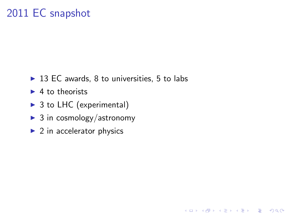# 2011 EC snapshot

 $\triangleright$  13 EC awards, 8 to universities, 5 to labs

K ロ ▶ K @ ▶ K 할 > K 할 > 1 할 > 1 이익어

- $\blacktriangleright$  4 to theorists
- $\triangleright$  3 to LHC (experimental)
- $\triangleright$  3 in cosmology/astronomy
- $\blacktriangleright$  2 in accelerator physics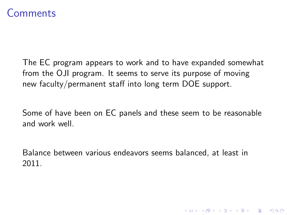#### Comments

The EC program appears to work and to have expanded somewhat from the OJI program. It seems to serve its purpose of moving new faculty/permanent staff into long term DOE support.

Some of have been on EC panels and these seem to be reasonable and work well.

Balance between various endeavors seems balanced, at least in 2011.

K ロ ▶ K @ ▶ K 할 > K 할 > 1 할 > 1 이익어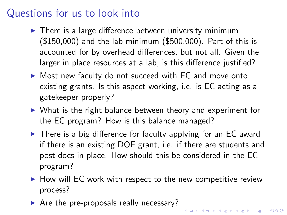## Questions for us to look into

- $\blacktriangleright$  There is a large difference between university minimum (\$150,000) and the lab minimum (\$500,000). Part of this is accounted for by overhead differences, but not all. Given the larger in place resources at a lab, is this difference justified?
- $\triangleright$  Most new faculty do not succeed with EC and move onto existing grants. Is this aspect working, i.e. is EC acting as a gatekeeper properly?
- $\triangleright$  What is the right balance between theory and experiment for the EC program? How is this balance managed?
- $\triangleright$  There is a big difference for faculty applying for an EC award if there is an existing DOE grant, i.e. if there are students and post docs in place. How should this be considered in the EC program?
- $\blacktriangleright$  How will EC work with respect to the new competitive review process?

4 D > 4 P + 4 B + 4 B + B + 9 Q O

 $\triangleright$  Are the pre-proposals really necessary?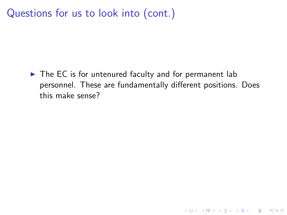Questions for us to look into (cont.)

 $\triangleright$  The EC is for untenured faculty and for permanent lab personnel. These are fundamentally different positions. Does this make sense?

K ロ ▶ K @ ▶ K 할 ▶ K 할 ▶ | 할 | © 9 Q @